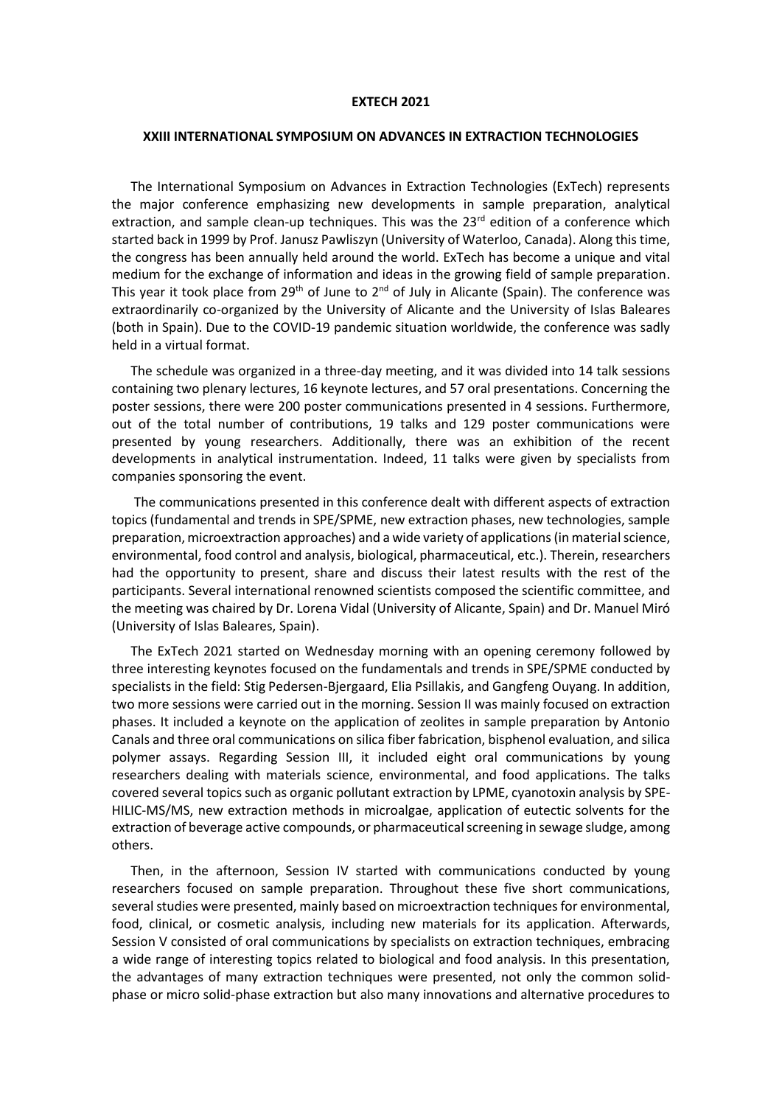## **EXTECH 2021**

## **XXIII INTERNATIONAL SYMPOSIUM ON ADVANCES IN EXTRACTION TECHNOLOGIES**

The International Symposium on Advances in Extraction Technologies (ExTech) represents the major conference emphasizing new developments in sample preparation, analytical extraction, and sample clean-up techniques. This was the 23<sup>rd</sup> edition of a conference which started back in 1999 by Prof. Janusz Pawliszyn (University of Waterloo, Canada). Along this time, the congress has been annually held around the world. ExTech has become a unique and vital medium for the exchange of information and ideas in the growing field of sample preparation. This year it took place from 29<sup>th</sup> of June to 2<sup>nd</sup> of July in Alicante (Spain). The conference was extraordinarily co-organized by the University of Alicante and the University of Islas Baleares (both in Spain). Due to the COVID-19 pandemic situation worldwide, the conference was sadly held in a virtual format.

The schedule was organized in a three-day meeting, and it was divided into 14 talk sessions containing two plenary lectures, 16 keynote lectures, and 57 oral presentations. Concerning the poster sessions, there were 200 poster communications presented in 4 sessions. Furthermore, out of the total number of contributions, 19 talks and 129 poster communications were presented by young researchers. Additionally, there was an exhibition of the recent developments in analytical instrumentation. Indeed, 11 talks were given by specialists from companies sponsoring the event.

The communications presented in this conference dealt with different aspects of extraction topics (fundamental and trends in SPE/SPME, new extraction phases, new technologies, sample preparation, microextraction approaches) and a wide variety of applications (in material science, environmental, food control and analysis, biological, pharmaceutical, etc.). Therein, researchers had the opportunity to present, share and discuss their latest results with the rest of the participants. Several international renowned scientists composed the scientific committee, and the meeting was chaired by Dr. Lorena Vidal (University of Alicante, Spain) and Dr. Manuel Miró (University of Islas Baleares, Spain).

The ExTech 2021 started on Wednesday morning with an opening ceremony followed by three interesting keynotes focused on the fundamentals and trends in SPE/SPME conducted by specialists in the field: Stig Pedersen-Bjergaard, Elia Psillakis, and Gangfeng Ouyang. In addition, two more sessions were carried out in the morning. Session II was mainly focused on extraction phases. It included a keynote on the application of zeolites in sample preparation by Antonio Canals and three oral communications on silica fiber fabrication, bisphenol evaluation, and silica polymer assays. Regarding Session III, it included eight oral communications by young researchers dealing with materials science, environmental, and food applications. The talks covered several topics such as organic pollutant extraction by LPME, cyanotoxin analysis by SPE-HILIC-MS/MS, new extraction methods in microalgae, application of eutectic solvents for the extraction of beverage active compounds, or pharmaceutical screening in sewage sludge, among others.

Then, in the afternoon, Session IV started with communications conducted by young researchers focused on sample preparation. Throughout these five short communications, several studies were presented, mainly based on microextraction techniques for environmental, food, clinical, or cosmetic analysis, including new materials for its application. Afterwards, Session V consisted of oral communications by specialists on extraction techniques, embracing a wide range of interesting topics related to biological and food analysis. In this presentation, the advantages of many extraction techniques were presented, not only the common solidphase or micro solid-phase extraction but also many innovations and alternative procedures to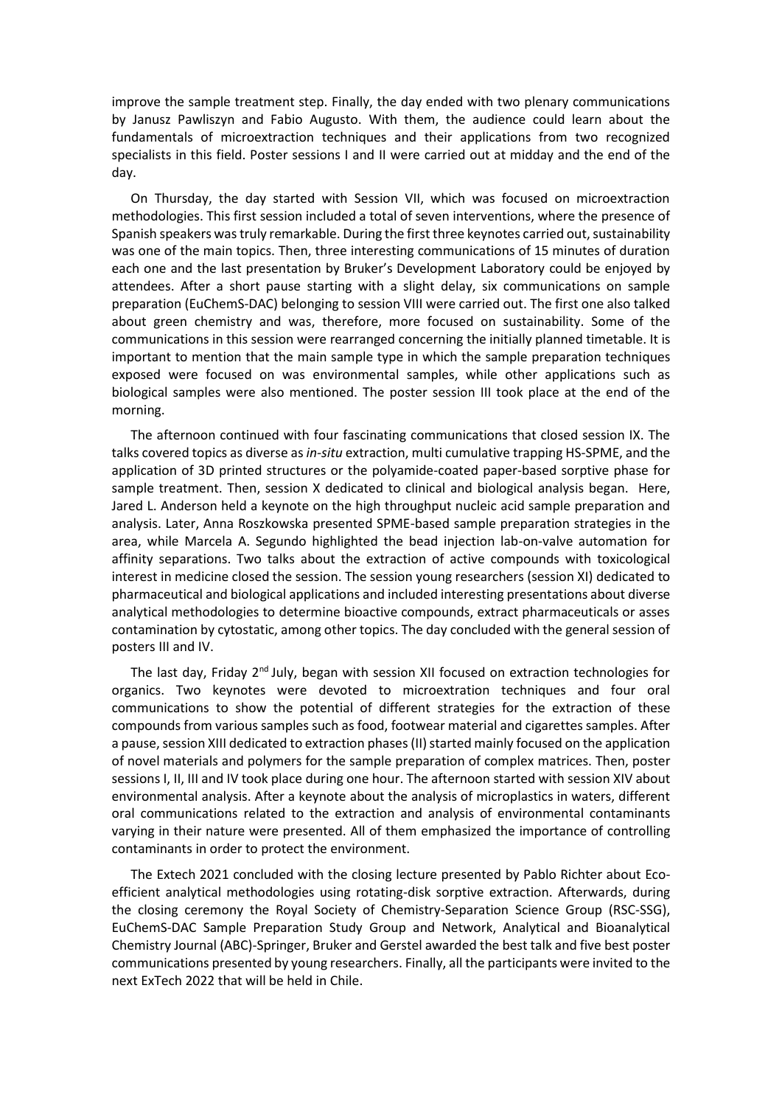improve the sample treatment step. Finally, the day ended with two plenary communications by Janusz Pawliszyn and Fabio Augusto. With them, the audience could learn about the fundamentals of microextraction techniques and their applications from two recognized specialists in this field. Poster sessions I and II were carried out at midday and the end of the day.

On Thursday, the day started with Session VII, which was focused on microextraction methodologies. This first session included a total of seven interventions, where the presence of Spanish speakers was truly remarkable. During the first three keynotes carried out, sustainability was one of the main topics. Then, three interesting communications of 15 minutes of duration each one and the last presentation by Bruker's Development Laboratory could be enjoyed by attendees. After a short pause starting with a slight delay, six communications on sample preparation (EuChemS-DAC) belonging to session VIII were carried out. The first one also talked about green chemistry and was, therefore, more focused on sustainability. Some of the communications in this session were rearranged concerning the initially planned timetable. It is important to mention that the main sample type in which the sample preparation techniques exposed were focused on was environmental samples, while other applications such as biological samples were also mentioned. The poster session III took place at the end of the morning.

The afternoon continued with four fascinating communications that closed session IX. The talks covered topics as diverse as *in-situ* extraction, multi cumulative trapping HS-SPME, and the application of 3D printed structures or the polyamide-coated paper-based sorptive phase for sample treatment. Then, session X dedicated to clinical and biological analysis began. Here, Jared L. Anderson held a keynote on the high throughput nucleic acid sample preparation and analysis. Later, Anna Roszkowska presented SPME-based sample preparation strategies in the area, while Marcela A. Segundo highlighted the bead injection lab-on-valve automation for affinity separations. Two talks about the extraction of active compounds with toxicological interest in medicine closed the session. The session young researchers (session XI) dedicated to pharmaceutical and biological applications and included interesting presentations about diverse analytical methodologies to determine bioactive compounds, extract pharmaceuticals or asses contamination by cytostatic, among other topics. The day concluded with the general session of posters III and IV.

The last day, Friday  $2<sup>nd</sup>$  July, began with session XII focused on extraction technologies for organics. Two keynotes were devoted to microextration techniques and four oral communications to show the potential of different strategies for the extraction of these compounds from various samples such as food, footwear material and cigarettes samples. After a pause, session XIII dedicated to extraction phases (II) started mainly focused on the application of novel materials and polymers for the sample preparation of complex matrices. Then, poster sessions I, II, III and IV took place during one hour. The afternoon started with session XIV about environmental analysis. After a keynote about the analysis of microplastics in waters, different oral communications related to the extraction and analysis of environmental contaminants varying in their nature were presented. All of them emphasized the importance of controlling contaminants in order to protect the environment.

The Extech 2021 concluded with the closing lecture presented by Pablo Richter about Ecoefficient analytical methodologies using rotating-disk sorptive extraction. Afterwards, during the closing ceremony the Royal Society of Chemistry-Separation Science Group (RSC-SSG), EuChemS-DAC Sample Preparation Study Group and Network, Analytical and Bioanalytical Chemistry Journal (ABC)-Springer, Bruker and Gerstel awarded the best talk and five best poster communications presented by young researchers. Finally, all the participants were invited to the next ExTech 2022 that will be held in Chile.